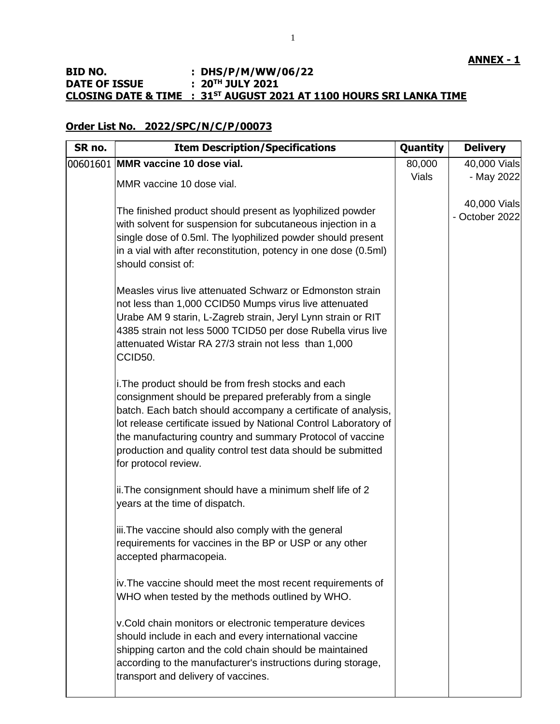# **BID NO. : DHS/P/M/WW/06/22 DATE OF ISSUE : 20TH JULY 2021 CLOSING DATE & TIME : 31ST AUGUST 2021 AT 1100 HOURS SRI LANKA TIME**

## **Order List No. 2022/SPC/N/C/P/00073**

| SR no. | <b>Item Description/Specifications</b>                                                                                                                                                                                                                                                                                                                                                                   | Quantity     | <b>Delivery</b>                |
|--------|----------------------------------------------------------------------------------------------------------------------------------------------------------------------------------------------------------------------------------------------------------------------------------------------------------------------------------------------------------------------------------------------------------|--------------|--------------------------------|
|        | 00601601 MMR vaccine 10 dose vial.                                                                                                                                                                                                                                                                                                                                                                       | 80,000       | 40,000 Vials                   |
|        | MMR vaccine 10 dose vial.                                                                                                                                                                                                                                                                                                                                                                                | <b>Vials</b> | - May 2022                     |
|        | The finished product should present as lyophilized powder<br>with solvent for suspension for subcutaneous injection in a<br>single dose of 0.5ml. The lyophilized powder should present<br>in a vial with after reconstitution, potency in one dose (0.5ml)<br>should consist of:                                                                                                                        |              | 40,000 Vials<br>- October 2022 |
|        | Measles virus live attenuated Schwarz or Edmonston strain<br>not less than 1,000 CCID50 Mumps virus live attenuated<br>Urabe AM 9 starin, L-Zagreb strain, Jeryl Lynn strain or RIT<br>4385 strain not less 5000 TCID50 per dose Rubella virus live<br>attenuated Wistar RA 27/3 strain not less than 1,000<br>CCID50.                                                                                   |              |                                |
|        | i. The product should be from fresh stocks and each<br>consignment should be prepared preferably from a single<br>batch. Each batch should accompany a certificate of analysis,<br>lot release certificate issued by National Control Laboratory of<br>the manufacturing country and summary Protocol of vaccine<br>production and quality control test data should be submitted<br>for protocol review. |              |                                |
|        | ii. The consignment should have a minimum shelf life of 2<br>years at the time of dispatch.                                                                                                                                                                                                                                                                                                              |              |                                |
|        | iii. The vaccine should also comply with the general<br>requirements for vaccines in the BP or USP or any other<br>accepted pharmacopeia.                                                                                                                                                                                                                                                                |              |                                |
|        | iv. The vaccine should meet the most recent requirements of<br>WHO when tested by the methods outlined by WHO.                                                                                                                                                                                                                                                                                           |              |                                |
|        | v.Cold chain monitors or electronic temperature devices<br>should include in each and every international vaccine<br>shipping carton and the cold chain should be maintained<br>according to the manufacturer's instructions during storage,<br>transport and delivery of vaccines.                                                                                                                      |              |                                |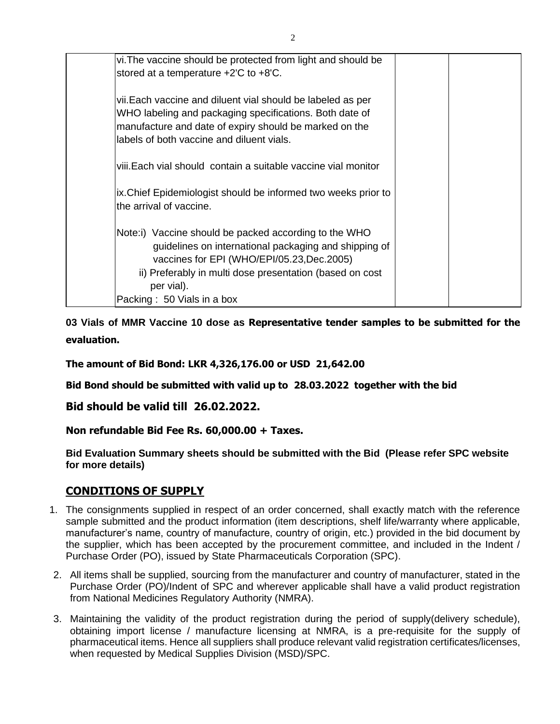| vi. The vaccine should be protected from light and should be<br>stored at a temperature +2'C to +8'C.                                                                                                                                   |  |
|-----------------------------------------------------------------------------------------------------------------------------------------------------------------------------------------------------------------------------------------|--|
| vii. Each vaccine and diluent vial should be labeled as per<br>WHO labeling and packaging specifications. Both date of<br>manufacture and date of expiry should be marked on the<br>labels of both vaccine and diluent vials.           |  |
| viii.Each vial should contain a suitable vaccine vial monitor                                                                                                                                                                           |  |
| ix. Chief Epidemiologist should be informed two weeks prior to<br>lthe arrival of vaccine.                                                                                                                                              |  |
| Note:i) Vaccine should be packed according to the WHO<br>guidelines on international packaging and shipping of<br>vaccines for EPI (WHO/EPI/05.23, Dec. 2005)<br>ii) Preferably in multi dose presentation (based on cost<br>per vial). |  |
| Packing: 50 Vials in a box                                                                                                                                                                                                              |  |

**03 Vials of MMR Vaccine 10 dose as Representative tender samples to be submitted for the evaluation.**

**The amount of Bid Bond: LKR 4,326,176.00 or USD 21,642.00**

**Bid Bond should be submitted with valid up to 28.03.2022 together with the bid**

**Bid should be valid till 26.02.2022.**

**Non refundable Bid Fee Rs. 60,000.00 + Taxes.**

**Bid Evaluation Summary sheets should be submitted with the Bid (Please refer SPC website for more details)**

# **CONDITIONS OF SUPPLY**

- 1. The consignments supplied in respect of an order concerned, shall exactly match with the reference sample submitted and the product information (item descriptions, shelf life/warranty where applicable, manufacturer's name, country of manufacture, country of origin, etc.) provided in the bid document by the supplier, which has been accepted by the procurement committee, and included in the Indent / Purchase Order (PO), issued by State Pharmaceuticals Corporation (SPC).
- 2. All items shall be supplied, sourcing from the manufacturer and country of manufacturer, stated in the Purchase Order (PO)/Indent of SPC and wherever applicable shall have a valid product registration from National Medicines Regulatory Authority (NMRA).
- 3. Maintaining the validity of the product registration during the period of supply(delivery schedule), obtaining import license / manufacture licensing at NMRA, is a pre-requisite for the supply of pharmaceutical items. Hence all suppliers shall produce relevant valid registration certificates/licenses, when requested by Medical Supplies Division (MSD)/SPC.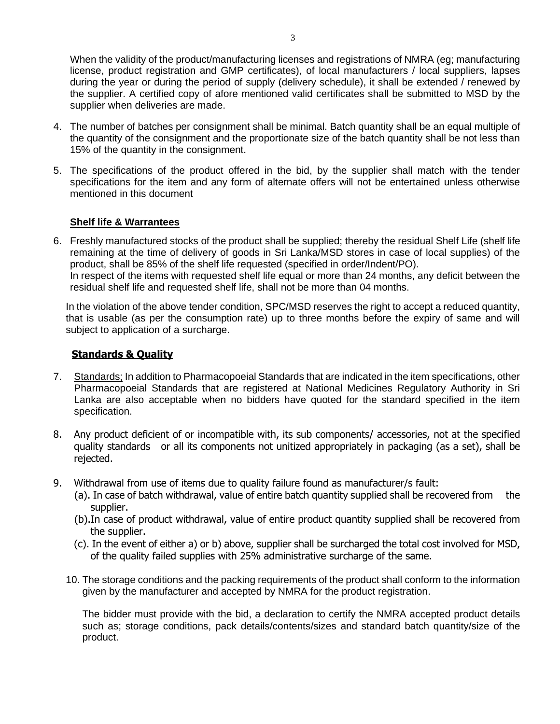When the validity of the product/manufacturing licenses and registrations of NMRA (eg; manufacturing license, product registration and GMP certificates), of local manufacturers / local suppliers, lapses during the year or during the period of supply (delivery schedule), it shall be extended / renewed by

- supplier when deliveries are made. 4. The number of batches per consignment shall be minimal. Batch quantity shall be an equal multiple of the quantity of the consignment and the proportionate size of the batch quantity shall be not less than
- 15% of the quantity in the consignment. 5. The specifications of the product offered in the bid, by the supplier shall match with the tender specifications for the item and any form of alternate offers will not be entertained unless otherwise

#### **Shelf life & Warrantees**

mentioned in this document

6. Freshly manufactured stocks of the product shall be supplied; thereby the residual Shelf Life (shelf life remaining at the time of delivery of goods in Sri Lanka/MSD stores in case of local supplies) of the product, shall be 85% of the shelf life requested (specified in order/Indent/PO). In respect of the items with requested shelf life equal or more than 24 months, any deficit between the residual shelf life and requested shelf life, shall not be more than 04 months.

In the violation of the above tender condition, SPC/MSD reserves the right to accept a reduced quantity, that is usable (as per the consumption rate) up to three months before the expiry of same and will subject to application of a surcharge.

#### **Standards & Quality**

- 7. Standards; In addition to Pharmacopoeial Standards that are indicated in the item specifications, other Pharmacopoeial Standards that are registered at National Medicines Regulatory Authority in Sri Lanka are also acceptable when no bidders have quoted for the standard specified in the item specification.
- 8. Any product deficient of or incompatible with, its sub components/ accessories, not at the specified quality standards or all its components not unitized appropriately in packaging (as a set), shall be rejected.
- 9. Withdrawal from use of items due to quality failure found as manufacturer/s fault:
	- (a). In case of batch withdrawal, value of entire batch quantity supplied shall be recovered from the supplier.
	- (b).In case of product withdrawal, value of entire product quantity supplied shall be recovered from the supplier.
	- (c). In the event of either a) or b) above, supplier shall be surcharged the total cost involved for MSD, of the quality failed supplies with 25% administrative surcharge of the same.
	- 10. The storage conditions and the packing requirements of the product shall conform to the information given by the manufacturer and accepted by NMRA for the product registration.

The bidder must provide with the bid, a declaration to certify the NMRA accepted product details such as; storage conditions, pack details/contents/sizes and standard batch quantity/size of the product.

the supplier. A certified copy of afore mentioned valid certificates shall be submitted to MSD by the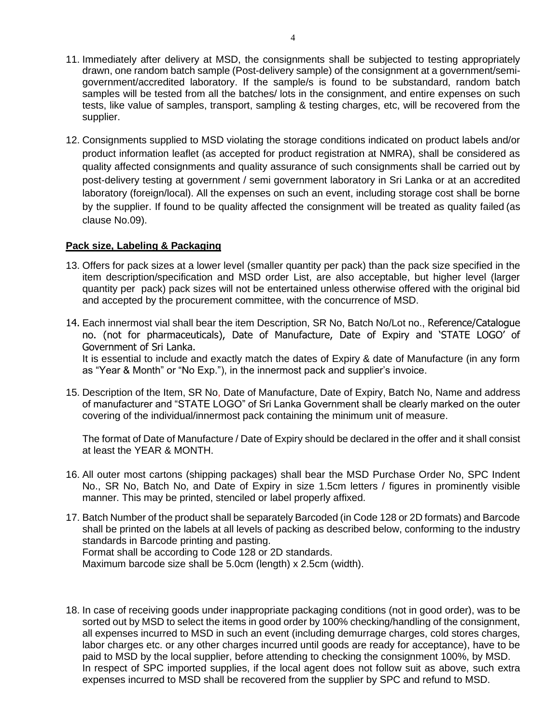- 11. Immediately after delivery at MSD, the consignments shall be subjected to testing appropriately drawn, one random batch sample (Post-delivery sample) of the consignment at a government/semigovernment/accredited laboratory. If the sample/s is found to be substandard, random batch samples will be tested from all the batches/ lots in the consignment, and entire expenses on such tests, like value of samples, transport, sampling & testing charges, etc, will be recovered from the supplier.
- 12. Consignments supplied to MSD violating the storage conditions indicated on product labels and/or product information leaflet (as accepted for product registration at NMRA), shall be considered as quality affected consignments and quality assurance of such consignments shall be carried out by post-delivery testing at government / semi government laboratory in Sri Lanka or at an accredited laboratory (foreign/local). All the expenses on such an event, including storage cost shall be borne by the supplier. If found to be quality affected the consignment will be treated as quality failed (as clause No.09).

## **Pack size, Labeling & Packaging**

- 13. Offers for pack sizes at a lower level (smaller quantity per pack) than the pack size specified in the item description/specification and MSD order List, are also acceptable, but higher level (larger quantity per pack) pack sizes will not be entertained unless otherwise offered with the original bid and accepted by the procurement committee, with the concurrence of MSD.
- 14. Each innermost vial shall bear the item Description, SR No, Batch No/Lot no., Reference/Catalogue no. (not for pharmaceuticals), Date of Manufacture, Date of Expiry and 'STATE LOGO' of Government of Sri Lanka.

It is essential to include and exactly match the dates of Expiry & date of Manufacture (in any form as "Year & Month" or "No Exp."), in the innermost pack and supplier's invoice.

15. Description of the Item, SR No, Date of Manufacture, Date of Expiry, Batch No, Name and address of manufacturer and "STATE LOGO" of Sri Lanka Government shall be clearly marked on the outer covering of the individual/innermost pack containing the minimum unit of measure.

The format of Date of Manufacture / Date of Expiry should be declared in the offer and it shall consist at least the YEAR & MONTH.

- 16. All outer most cartons (shipping packages) shall bear the MSD Purchase Order No, SPC Indent No., SR No, Batch No, and Date of Expiry in size 1.5cm letters / figures in prominently visible manner. This may be printed, stenciled or label properly affixed.
- 17. Batch Number of the product shall be separately Barcoded (in Code 128 or 2D formats) and Barcode shall be printed on the labels at all levels of packing as described below, conforming to the industry standards in Barcode printing and pasting. Format shall be according to Code 128 or 2D standards. Maximum barcode size shall be 5.0cm (length) x 2.5cm (width).
- 18. In case of receiving goods under inappropriate packaging conditions (not in good order), was to be sorted out by MSD to select the items in good order by 100% checking/handling of the consignment, all expenses incurred to MSD in such an event (including demurrage charges, cold stores charges, labor charges etc. or any other charges incurred until goods are ready for acceptance), have to be paid to MSD by the local supplier, before attending to checking the consignment 100%, by MSD. In respect of SPC imported supplies, if the local agent does not follow suit as above, such extra expenses incurred to MSD shall be recovered from the supplier by SPC and refund to MSD.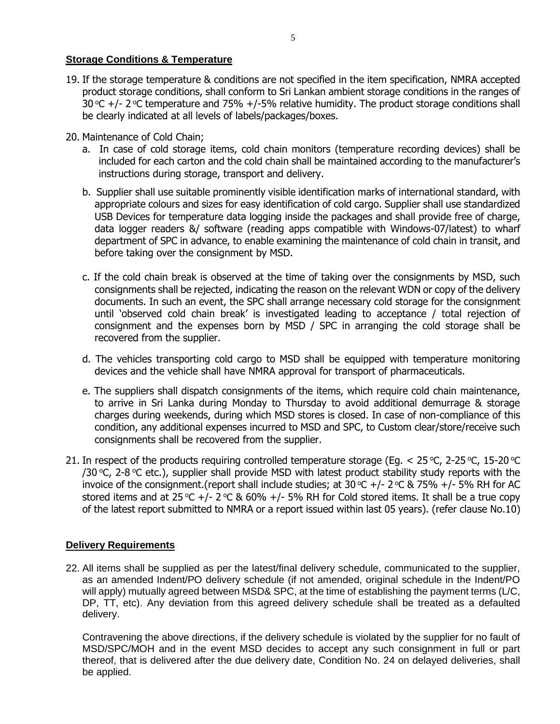## **Storage Conditions & Temperature**

- 19. If the storage temperature & conditions are not specified in the item specification, NMRA accepted product storage conditions, shall conform to Sri Lankan ambient storage conditions in the ranges of 30 °C  $+$ /- 2 °C temperature and 75%  $+$ /-5% relative humidity. The product storage conditions shall be clearly indicated at all levels of labels/packages/boxes.
- 20. Maintenance of Cold Chain;
	- a. In case of cold storage items, cold chain monitors (temperature recording devices) shall be included for each carton and the cold chain shall be maintained according to the manufacturer's instructions during storage, transport and delivery.
	- b. Supplier shall use suitable prominently visible identification marks of international standard, with appropriate colours and sizes for easy identification of cold cargo. Supplier shall use standardized USB Devices for temperature data logging inside the packages and shall provide free of charge, data logger readers &/ software (reading apps compatible with Windows-07/latest) to wharf department of SPC in advance, to enable examining the maintenance of cold chain in transit, and before taking over the consignment by MSD.
	- c. If the cold chain break is observed at the time of taking over the consignments by MSD, such consignments shall be rejected, indicating the reason on the relevant WDN or copy of the delivery documents. In such an event, the SPC shall arrange necessary cold storage for the consignment until 'observed cold chain break' is investigated leading to acceptance / total rejection of consignment and the expenses born by MSD / SPC in arranging the cold storage shall be recovered from the supplier.
	- d. The vehicles transporting cold cargo to MSD shall be equipped with temperature monitoring devices and the vehicle shall have NMRA approval for transport of pharmaceuticals.
	- e. The suppliers shall dispatch consignments of the items, which require cold chain maintenance, to arrive in Sri Lanka during Monday to Thursday to avoid additional demurrage & storage charges during weekends, during which MSD stores is closed. In case of non-compliance of this condition, any additional expenses incurred to MSD and SPC, to Custom clear/store/receive such consignments shall be recovered from the supplier.
- 21. In respect of the products requiring controlled temperature storage (Eq.  $<$  25 °C, 2-25 °C, 15-20 °C /30 °C, 2-8 °C etc.), supplier shall provide MSD with latest product stability study reports with the invoice of the consignment.(report shall include studies; at  $30^{\circ}C$  +/-  $2^{\circ}C$  & 75% +/- 5% RH for AC stored items and at 25 °C +/- 2 °C & 60% +/- 5% RH for Cold stored items. It shall be a true copy of the latest report submitted to NMRA or a report issued within last 05 years). (refer clause No.10)

## **Delivery Requirements**

22. All items shall be supplied as per the latest/final delivery schedule, communicated to the supplier, as an amended Indent/PO delivery schedule (if not amended, original schedule in the Indent/PO will apply) mutually agreed between MSD& SPC, at the time of establishing the payment terms (L/C, DP, TT, etc). Any deviation from this agreed delivery schedule shall be treated as a defaulted delivery.

Contravening the above directions, if the delivery schedule is violated by the supplier for no fault of MSD/SPC/MOH and in the event MSD decides to accept any such consignment in full or part thereof, that is delivered after the due delivery date, Condition No. 24 on delayed deliveries, shall be applied.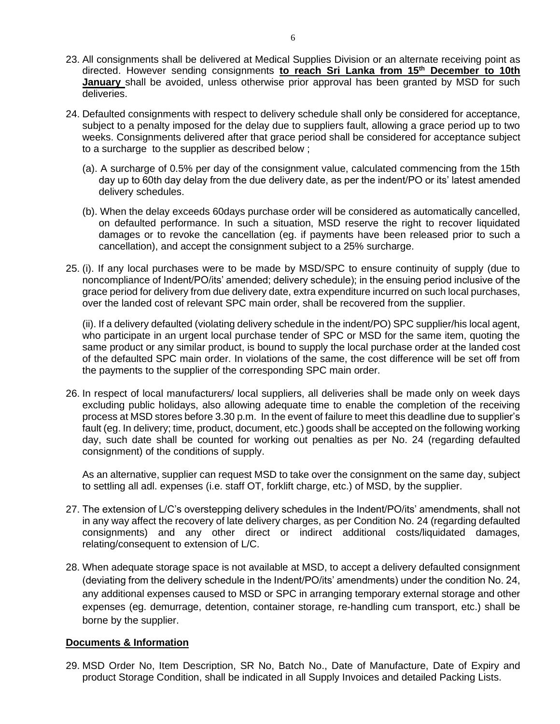- 23. All consignments shall be delivered at Medical Supplies Division or an alternate receiving point as directed. However sending consignments **to reach Sri Lanka from 15th December to 10th January** shall be avoided, unless otherwise prior approval has been granted by MSD for such deliveries.
- 24. Defaulted consignments with respect to delivery schedule shall only be considered for acceptance, subject to a penalty imposed for the delay due to suppliers fault, allowing a grace period up to two weeks. Consignments delivered after that grace period shall be considered for acceptance subject to a surcharge to the supplier as described below ;
	- (a). A surcharge of 0.5% per day of the consignment value, calculated commencing from the 15th day up to 60th day delay from the due delivery date, as per the indent/PO or its' latest amended delivery schedules.
	- (b). When the delay exceeds 60days purchase order will be considered as automatically cancelled, on defaulted performance. In such a situation, MSD reserve the right to recover liquidated damages or to revoke the cancellation (eg. if payments have been released prior to such a cancellation), and accept the consignment subject to a 25% surcharge.
- 25. (i). If any local purchases were to be made by MSD/SPC to ensure continuity of supply (due to noncompliance of Indent/PO/its' amended; delivery schedule); in the ensuing period inclusive of the grace period for delivery from due delivery date, extra expenditure incurred on such local purchases, over the landed cost of relevant SPC main order, shall be recovered from the supplier.

(ii). If a delivery defaulted (violating delivery schedule in the indent/PO) SPC supplier/his local agent, who participate in an urgent local purchase tender of SPC or MSD for the same item, quoting the same product or any similar product, is bound to supply the local purchase order at the landed cost of the defaulted SPC main order. In violations of the same, the cost difference will be set off from the payments to the supplier of the corresponding SPC main order.

26. In respect of local manufacturers/ local suppliers, all deliveries shall be made only on week days excluding public holidays, also allowing adequate time to enable the completion of the receiving process at MSD stores before 3.30 p.m. In the event of failure to meet this deadline due to supplier's fault (eg. In delivery; time, product, document, etc.) goods shall be accepted on the following working day, such date shall be counted for working out penalties as per No. 24 (regarding defaulted consignment) of the conditions of supply.

As an alternative, supplier can request MSD to take over the consignment on the same day, subject to settling all adl. expenses (i.e. staff OT, forklift charge, etc.) of MSD, by the supplier.

- 27. The extension of L/C's overstepping delivery schedules in the Indent/PO/its' amendments, shall not in any way affect the recovery of late delivery charges, as per Condition No. 24 (regarding defaulted consignments) and any other direct or indirect additional costs/liquidated damages, relating/consequent to extension of L/C.
- 28. When adequate storage space is not available at MSD, to accept a delivery defaulted consignment (deviating from the delivery schedule in the Indent/PO/its' amendments) under the condition No. 24, any additional expenses caused to MSD or SPC in arranging temporary external storage and other expenses (eg. demurrage, detention, container storage, re-handling cum transport, etc.) shall be borne by the supplier.

#### **Documents & Information**

29. MSD Order No, Item Description, SR No, Batch No., Date of Manufacture, Date of Expiry and product Storage Condition, shall be indicated in all Supply Invoices and detailed Packing Lists.